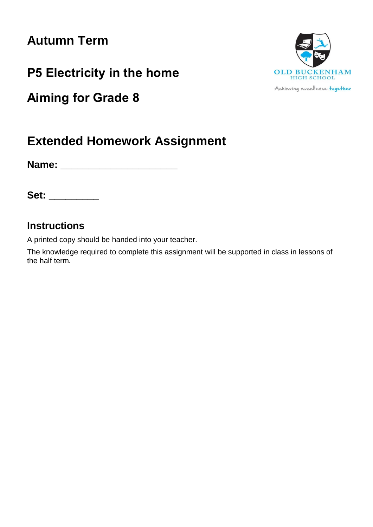# **Autumn Term**

**P5 Electricity in the home**

**Aiming for Grade 8**



**Name: \_\_\_\_\_\_\_\_\_\_\_\_\_\_\_\_\_\_\_\_\_**

**Set: \_\_\_\_\_\_\_\_\_**

# **Instructions**

A printed copy should be handed into your teacher.

The knowledge required to complete this assignment will be supported in class in lessons of the half term.



Achieving excellence together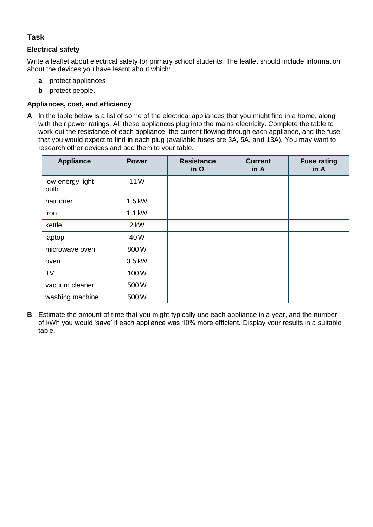## **Task**

#### **Electrical safety**

Write a leaflet about electrical safety for primary school students. The leaflet should include information about the devices you have learnt about which:

- **a** protect appliances
- **b** protect people.

#### **Appliances, cost, and efficiency**

**A** In the table below is a list of some of the electrical appliances that you might find in a home, along with their power ratings. All these appliances plug into the mains electricity. Complete the table to work out the resistance of each appliance, the current flowing through each appliance, and the fuse that you would expect to find in each plug (available fuses are 3A, 5A, and 13A). You may want to research other devices and add them to your table.

| <b>Appliance</b>         | <b>Power</b> | <b>Resistance</b><br>in $\Omega$ | <b>Current</b><br>in A | <b>Fuse rating</b><br>in A |
|--------------------------|--------------|----------------------------------|------------------------|----------------------------|
| low-energy light<br>bulb | 11W          |                                  |                        |                            |
| hair drier               | 1.5 kW       |                                  |                        |                            |
| iron                     | 1.1 kW       |                                  |                        |                            |
| kettle                   | 2 kW         |                                  |                        |                            |
| laptop                   | 40W          |                                  |                        |                            |
| microwave oven           | 800W         |                                  |                        |                            |
| oven                     | 3.5 kW       |                                  |                        |                            |
| <b>TV</b>                | 100W         |                                  |                        |                            |
| vacuum cleaner           | 500W         |                                  |                        |                            |
| washing machine          | 500W         |                                  |                        |                            |

**B** Estimate the amount of time that you might typically use each appliance in a year, and the number of kWh you would 'save' if each appliance was 10% more efficient. Display your results in a suitable table.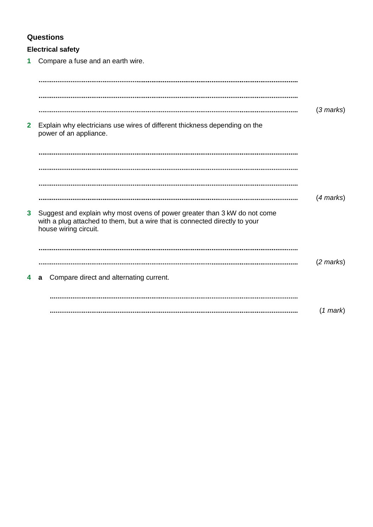# **Questions**

## **Electrical safety**

**1** Compare a fuse and an earth wire.

|              |                                                                                                                                                                                   | $(3 \text{ marks})$ |
|--------------|-----------------------------------------------------------------------------------------------------------------------------------------------------------------------------------|---------------------|
| $\mathbf{2}$ | Explain why electricians use wires of different thickness depending on the<br>power of an appliance.                                                                              |                     |
|              |                                                                                                                                                                                   |                     |
|              |                                                                                                                                                                                   |                     |
|              |                                                                                                                                                                                   |                     |
|              |                                                                                                                                                                                   | $(4$ marks $)$      |
| $\mathbf{3}$ | Suggest and explain why most ovens of power greater than 3 kW do not come<br>with a plug attached to them, but a wire that is connected directly to your<br>house wiring circuit. |                     |
|              |                                                                                                                                                                                   |                     |
|              |                                                                                                                                                                                   | $(2 \text{ marks})$ |
| 4            | Compare direct and alternating current.<br>a                                                                                                                                      |                     |
|              |                                                                                                                                                                                   |                     |
|              |                                                                                                                                                                                   | (1 mark)            |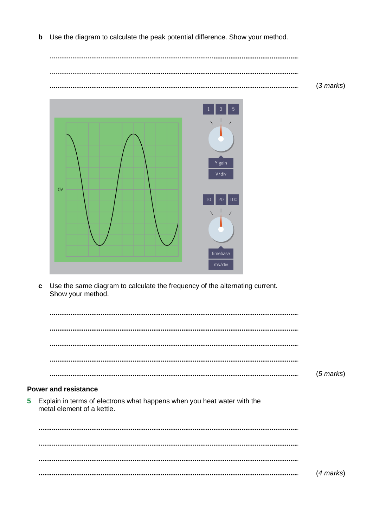**b** Use the diagram to calculate the peak potential difference. Show your method.

 $\ddotsc$ (*3 marks*) 



**c** Use the same diagram to calculate the frequency of the alternating current. Show your method.

|                                                                                                         | $(5 \text{ marks})$ |
|---------------------------------------------------------------------------------------------------------|---------------------|
|                                                                                                         |                     |
| <b>Power and resistance</b>                                                                             |                     |
| 5 Explain in terms of electrons what happens when you heat water with the<br>metal element of a kettle. |                     |

(*4 marks*)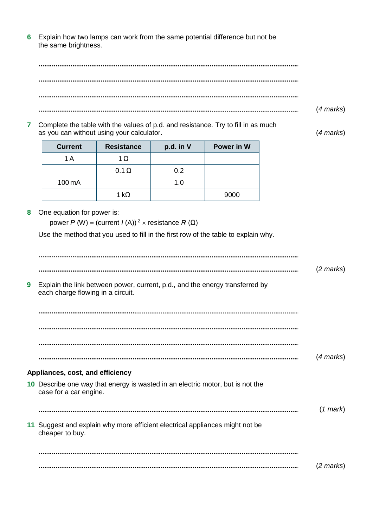**6** Explain how two lamps can work from the same potential difference but not be the same brightness.

(*4 marks*) 

**7** Complete the table with the values of p.d. and resistance. Try to fill in as much as you can without using your calculator. (*4 marks*)

| <b>Current</b> | <b>Resistance</b> | p.d. in V | Power in W |
|----------------|-------------------|-----------|------------|
| 1 A            | 1Ω                |           |            |
|                | $0.1 \Omega$      | 0.2       |            |
| 100 mA         |                   | 1.0       |            |
|                | 1 kO              |           | 9000       |

**8** One equation for power is:

power *P* (W) = (current *I* (A))<sup>2</sup>  $\times$  resistance *R* (Ω)

Use the method that you used to fill in the first row of the table to explain why.

|   |                                                                                                                   | $(2 \text{ marks})$ |
|---|-------------------------------------------------------------------------------------------------------------------|---------------------|
| 9 | Explain the link between power, current, p.d., and the energy transferred by<br>each charge flowing in a circuit. |                     |
|   |                                                                                                                   |                     |
|   |                                                                                                                   |                     |
|   |                                                                                                                   |                     |
|   |                                                                                                                   | $(4$ marks)         |
|   | Appliances, cost, and efficiency                                                                                  |                     |
|   | 10 Describe one way that energy is wasted in an electric motor, but is not the<br>case for a car engine.          |                     |
|   |                                                                                                                   | $(1$ mark $)$       |
|   | 11 Suggest and explain why more efficient electrical appliances might not be<br>cheaper to buy.                   |                     |
|   |                                                                                                                   |                     |
|   |                                                                                                                   | $(2 \text{ marks})$ |